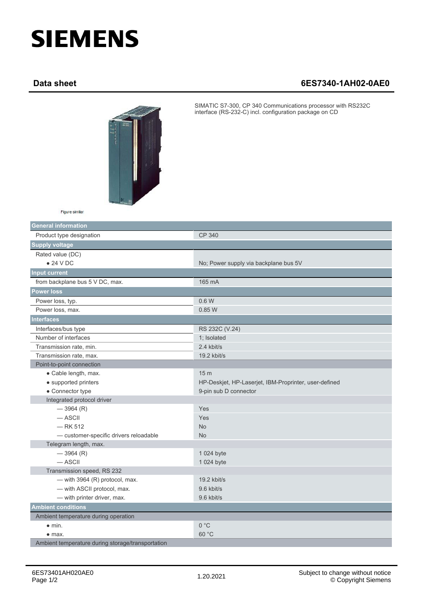## **SIEMENS**

## **Data sheet 6ES7340-1AH02-0AE0**



SIMATIC S7-300, CP 340 Communications processor with RS232C interface (RS-232-C) incl. configuration package on CD

| Figure similar |  |
|----------------|--|
|                |  |

| <b>General information</b>                        |                                                       |
|---------------------------------------------------|-------------------------------------------------------|
| Product type designation                          | CP 340                                                |
| <b>Supply voltage</b>                             |                                                       |
| Rated value (DC)                                  |                                                       |
| $\bullet$ 24 V DC                                 | No; Power supply via backplane bus 5V                 |
| <b>Input current</b>                              |                                                       |
| from backplane bus 5 V DC, max.                   | 165 mA                                                |
| <b>Power loss</b>                                 |                                                       |
| Power loss, typ.                                  | 0.6 W                                                 |
| Power loss, max.                                  | 0.85W                                                 |
| <b>Interfaces</b>                                 |                                                       |
| Interfaces/bus type                               | RS 232C (V.24)                                        |
| Number of interfaces                              | 1; Isolated                                           |
| Transmission rate, min.                           | 2.4 kbit/s                                            |
| Transmission rate, max.                           | 19.2 kbit/s                                           |
| Point-to-point connection                         |                                                       |
| • Cable length, max.                              | 15 <sub>m</sub>                                       |
| • supported printers                              | HP-Deskjet, HP-Laserjet, IBM-Proprinter, user-defined |
| • Connector type                                  | 9-pin sub D connector                                 |
| Integrated protocol driver                        |                                                       |
| $-3964(R)$                                        | Yes                                                   |
| $-$ ASCII                                         | Yes                                                   |
| $-$ RK 512                                        | <b>No</b>                                             |
| - customer-specific drivers reloadable            | <b>No</b>                                             |
| Telegram length, max.                             |                                                       |
| $-3964(R)$                                        | 1 024 byte                                            |
| $-$ ASCII                                         | 1 024 byte                                            |
| Transmission speed, RS 232                        |                                                       |
| - with 3964 $(R)$ protocol, max.                  | 19.2 kbit/s                                           |
| - with ASCII protocol, max.                       | 9.6 kbit/s                                            |
| - with printer driver, max.                       | 9.6 kbit/s                                            |
| <b>Ambient conditions</b>                         |                                                       |
| Ambient temperature during operation              |                                                       |
| $\bullet$ min.                                    | 0 °C                                                  |
| $\bullet$ max.                                    | 60 °C                                                 |
| Ambient temperature during storage/transportation |                                                       |